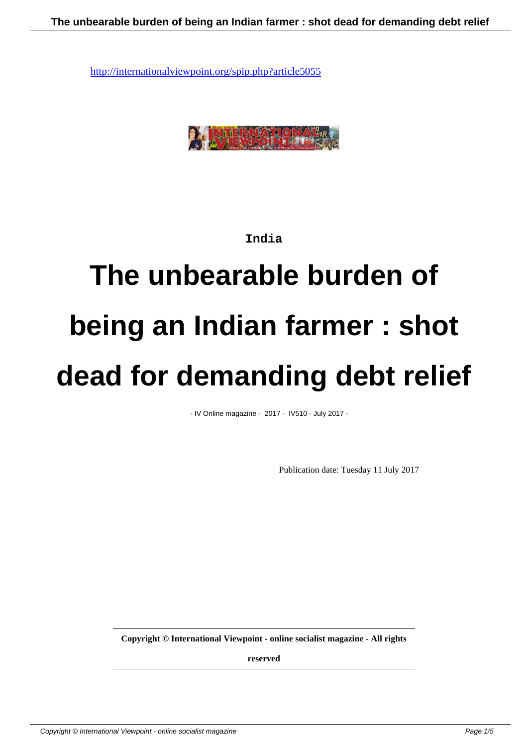

#### **India**

# **The unbearable burden of being an Indian farmer : shot dead for demanding debt relief**

- IV Online magazine - 2017 - IV510 - July 2017 -

Publication date: Tuesday 11 July 2017

**Copyright © International Viewpoint - online socialist magazine - All rights**

**reserved**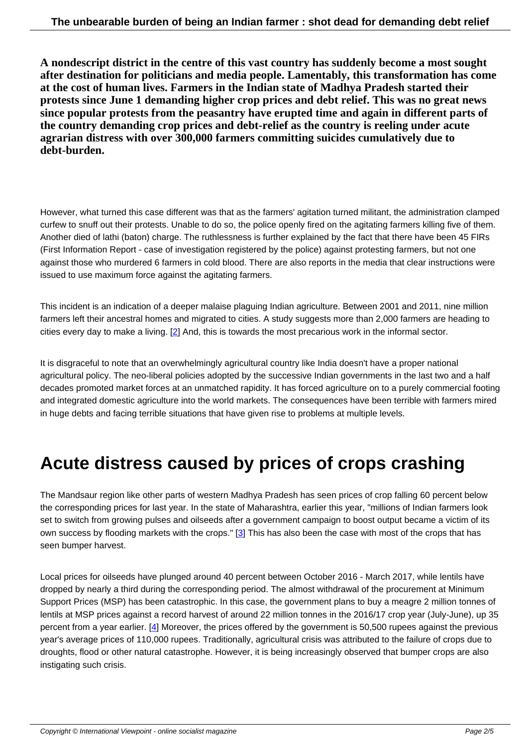**A nondescript district in the centre of this vast country has suddenly become a most sought after destination for politicians and media people. Lamentably, this transformation has come at the cost of human lives. Farmers in the Indian state of Madhya Pradesh started their protests since June 1 demanding higher crop prices and debt relief. This was no great news since popular protests from the peasantry have erupted time and again in different parts of the country demanding crop prices and debt-relief as the country is reeling under acute agrarian distress with over 300,000 farmers committing suicides cumulatively due to debt-burden.**

However, what turned this case different was that as the farmers' agitation turned militant, the administration clamped curfew to snuff out their protests. Unable to do so, the police openly fired on the agitating farmers killing five of them. Another died of lathi (baton) charge. The ruthlessness is further explained by the fact that there have been 45 FIRs (First Information Report - case of investigation registered by the police) against protesting farmers, but not one against those who murdered 6 farmers in cold blood. There are also reports in the media that clear instructions were issued to use maximum force against the agitating farmers.

This incident is an indication of a deeper malaise plaguing Indian agriculture. Between 2001 and 2011, nine million farmers left their ancestral homes and migrated to cities. A study suggests more than 2,000 farmers are heading to cities every day to make a living. [2] And, this is towards the most precarious work in the informal sector.

It is disgraceful to note that an overwhelmingly agricultural country like India doesn't have a proper national agricultural policy. The neo-liberal [p](#nb2)olicies adopted by the successive Indian governments in the last two and a half decades promoted market forces at an unmatched rapidity. It has forced agriculture on to a purely commercial footing and integrated domestic agriculture into the world markets. The consequences have been terrible with farmers mired in huge debts and facing terrible situations that have given rise to problems at multiple levels.

### **Acute distress caused by prices of crops crashing**

The Mandsaur region like other parts of western Madhya Pradesh has seen prices of crop falling 60 percent below the corresponding prices for last year. In the state of Maharashtra, earlier this year, "millions of Indian farmers look set to switch from growing pulses and oilseeds after a government campaign to boost output became a victim of its own success by flooding markets with the crops." [3] This has also been the case with most of the crops that has seen bumper harvest.

Local prices for oilseeds have plunged around 40 [pe](#nb3)rcent between October 2016 - March 2017, while lentils have dropped by nearly a third during the corresponding period. The almost withdrawal of the procurement at Minimum Support Prices (MSP) has been catastrophic. In this case, the government plans to buy a meagre 2 million tonnes of lentils at MSP prices against a record harvest of around 22 million tonnes in the 2016/17 crop year (July-June), up 35 percent from a year earlier. [4] Moreover, the prices offered by the government is 50,500 rupees against the previous year's average prices of 110,000 rupees. Traditionally, agricultural crisis was attributed to the failure of crops due to droughts, flood or other natural catastrophe. However, it is being increasingly observed that bumper crops are also instigating such crisis.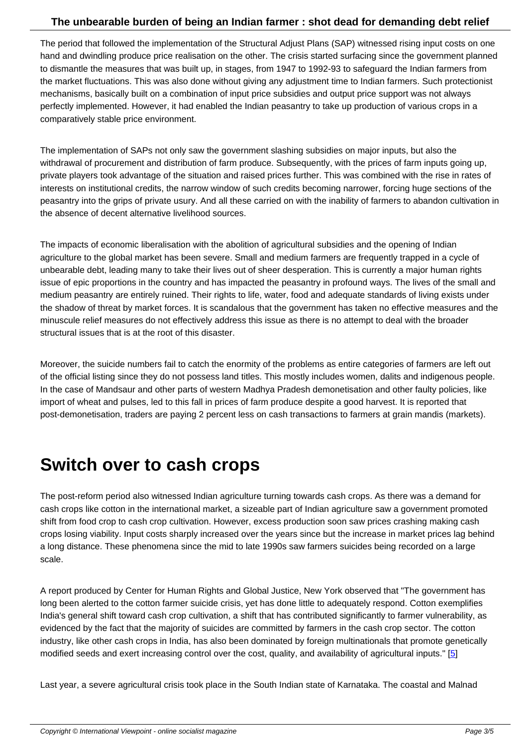The period that followed the implementation of the Structural Adjust Plans (SAP) witnessed rising input costs on one hand and dwindling produce price realisation on the other. The crisis started surfacing since the government planned to dismantle the measures that was built up, in stages, from 1947 to 1992-93 to safeguard the Indian farmers from the market fluctuations. This was also done without giving any adjustment time to Indian farmers. Such protectionist mechanisms, basically built on a combination of input price subsidies and output price support was not always perfectly implemented. However, it had enabled the Indian peasantry to take up production of various crops in a comparatively stable price environment.

The implementation of SAPs not only saw the government slashing subsidies on major inputs, but also the withdrawal of procurement and distribution of farm produce. Subsequently, with the prices of farm inputs going up, private players took advantage of the situation and raised prices further. This was combined with the rise in rates of interests on institutional credits, the narrow window of such credits becoming narrower, forcing huge sections of the peasantry into the grips of private usury. And all these carried on with the inability of farmers to abandon cultivation in the absence of decent alternative livelihood sources.

The impacts of economic liberalisation with the abolition of agricultural subsidies and the opening of Indian agriculture to the global market has been severe. Small and medium farmers are frequently trapped in a cycle of unbearable debt, leading many to take their lives out of sheer desperation. This is currently a major human rights issue of epic proportions in the country and has impacted the peasantry in profound ways. The lives of the small and medium peasantry are entirely ruined. Their rights to life, water, food and adequate standards of living exists under the shadow of threat by market forces. It is scandalous that the government has taken no effective measures and the minuscule relief measures do not effectively address this issue as there is no attempt to deal with the broader structural issues that is at the root of this disaster.

Moreover, the suicide numbers fail to catch the enormity of the problems as entire categories of farmers are left out of the official listing since they do not possess land titles. This mostly includes women, dalits and indigenous people. In the case of Mandsaur and other parts of western Madhya Pradesh demonetisation and other faulty policies, like import of wheat and pulses, led to this fall in prices of farm produce despite a good harvest. It is reported that post-demonetisation, traders are paying 2 percent less on cash transactions to farmers at grain mandis (markets).

# **Switch over to cash crops**

The post-reform period also witnessed Indian agriculture turning towards cash crops. As there was a demand for cash crops like cotton in the international market, a sizeable part of Indian agriculture saw a government promoted shift from food crop to cash crop cultivation. However, excess production soon saw prices crashing making cash crops losing viability. Input costs sharply increased over the years since but the increase in market prices lag behind a long distance. These phenomena since the mid to late 1990s saw farmers suicides being recorded on a large scale.

A report produced by Center for Human Rights and Global Justice, New York observed that "The government has long been alerted to the cotton farmer suicide crisis, yet has done little to adequately respond. Cotton exemplifies India's general shift toward cash crop cultivation, a shift that has contributed significantly to farmer vulnerability, as evidenced by the fact that the majority of suicides are committed by farmers in the cash crop sector. The cotton industry, like other cash crops in India, has also been dominated by foreign multinationals that promote genetically modified seeds and exert increasing control over the cost, quality, and availability of agricultural inputs." [5]

Last year, a severe agricultural crisis took place in the South Indian state of Karnataka. The coastal and Malnad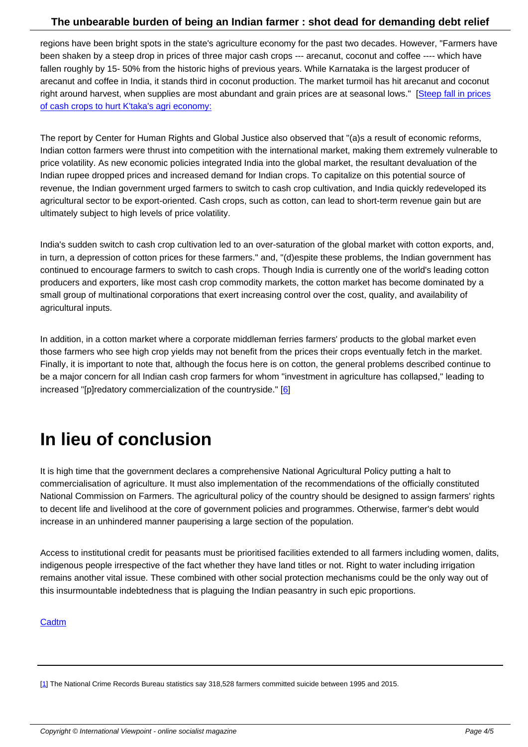regions have been bright spots in the state's agriculture economy for the past two decades. However, "Farmers have been shaken by a steep drop in prices of three major cash crops --- arecanut, coconut and coffee ---- which have fallen roughly by 15- 50% from the historic highs of previous years. While Karnataka is the largest producer of arecanut and coffee in India, it stands third in coconut production. The market turmoil has hit arecanut and coconut right around harvest, when supplies are most abundant and grain prices are at seasonal lows." [Steep fall in prices of cash crops to hurt K'taka's agri economy:

The report by Center for Human Rights and Global Justice also observed that "(a)s a result of ec[onomic reforms,](http://timesofindia.indiatimes.com/city/bengaluru/Steep-fall-in-prices-of-cash-crops-to-hurt-Ktakas-agri-economy/articleshow/53818183.cms) [Indian cotton farmers were thrust into compe](http://timesofindia.indiatimes.com/city/bengaluru/Steep-fall-in-prices-of-cash-crops-to-hurt-Ktakas-agri-economy/articleshow/53818183.cms)tition with the international market, making them extremely vulnerable to price volatility. As new economic policies integrated India into the global market, the resultant devaluation of the Indian rupee dropped prices and increased demand for Indian crops. To capitalize on this potential source of revenue, the Indian government urged farmers to switch to cash crop cultivation, and India quickly redeveloped its agricultural sector to be export-oriented. Cash crops, such as cotton, can lead to short-term revenue gain but are ultimately subject to high levels of price volatility.

India's sudden switch to cash crop cultivation led to an over-saturation of the global market with cotton exports, and, in turn, a depression of cotton prices for these farmers." and, "(d)espite these problems, the Indian government has continued to encourage farmers to switch to cash crops. Though India is currently one of the world's leading cotton producers and exporters, like most cash crop commodity markets, the cotton market has become dominated by a small group of multinational corporations that exert increasing control over the cost, quality, and availability of agricultural inputs.

In addition, in a cotton market where a corporate middleman ferries farmers' products to the global market even those farmers who see high crop yields may not benefit from the prices their crops eventually fetch in the market. Finally, it is important to note that, although the focus here is on cotton, the general problems described continue to be a major concern for all Indian cash crop farmers for whom "investment in agriculture has collapsed," leading to increased "[p]redatory commercialization of the countryside." [6]

# **In lieu of conclusion**

It is high time that the government declares a comprehensive National Agricultural Policy putting a halt to commercialisation of agriculture. It must also implementation of the recommendations of the officially constituted National Commission on Farmers. The agricultural policy of the country should be designed to assign farmers' rights to decent life and livelihood at the core of government policies and programmes. Otherwise, farmer's debt would increase in an unhindered manner pauperising a large section of the population.

Access to institutional credit for peasants must be prioritised facilities extended to all farmers including women, dalits, indigenous people irrespective of the fact whether they have land titles or not. Right to water including irrigation remains another vital issue. These combined with other social protection mechanisms could be the only way out of this insurmountable indebtedness that is plaguing the Indian peasantry in such epic proportions.

**Cadtm** 

[1] The National Crime Records Bureau statistics say 318,528 farmers committed suicide between 1995 and 2015.